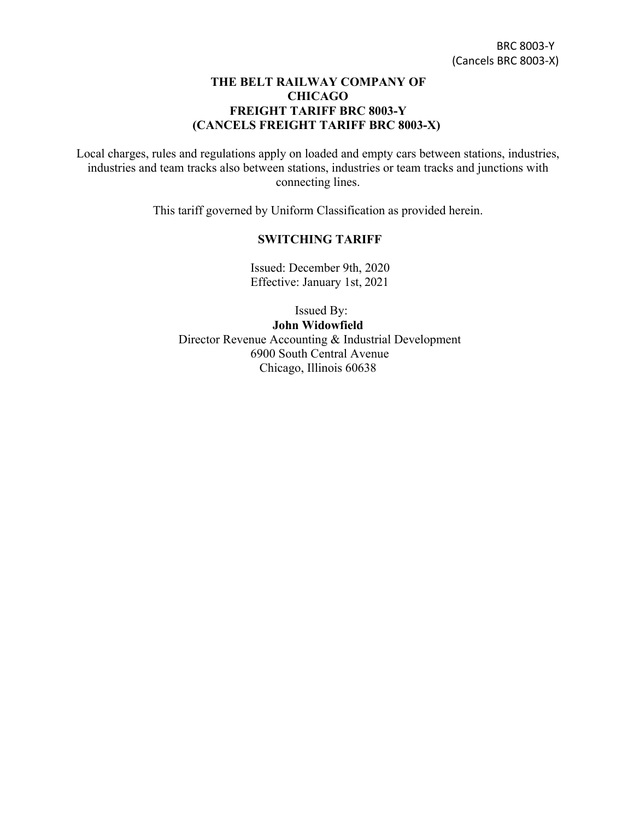## **THE BELT RAILWAY COMPANY OF CHICAGO FREIGHT TARIFF BRC 8003-Y (CANCELS FREIGHT TARIFF BRC 8003-X)**

Local charges, rules and regulations apply on loaded and empty cars between stations, industries, industries and team tracks also between stations, industries or team tracks and junctions with connecting lines.

This tariff governed by Uniform Classification as provided herein.

## **SWITCHING TARIFF**

Issued: December 9th, 2020 Effective: January 1st, 2021

 Issued By: **John Widowfield** Director Revenue Accounting & Industrial Development 6900 South Central Avenue Chicago, Illinois 60638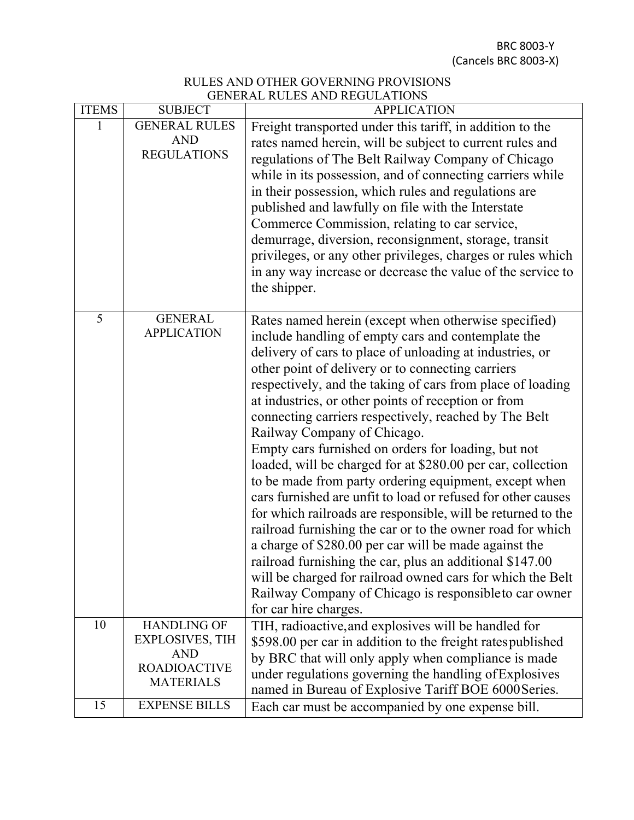BRC 8003-Y (Cancels BRC 8003-X)

## RULES AND OTHER GOVERNING PROVISIONS GENERAL RULES AND REGULATIONS

| <b>ITEMS</b> | <b>SUBJECT</b>                                                                                        | <b>APPLICATION</b>                                                                                                                                                                                                                                                                                                                                                                                                                                                                                                                                                                                                                                                                                                                                                                                                                                                                                                                                                                                       |  |  |  |  |
|--------------|-------------------------------------------------------------------------------------------------------|----------------------------------------------------------------------------------------------------------------------------------------------------------------------------------------------------------------------------------------------------------------------------------------------------------------------------------------------------------------------------------------------------------------------------------------------------------------------------------------------------------------------------------------------------------------------------------------------------------------------------------------------------------------------------------------------------------------------------------------------------------------------------------------------------------------------------------------------------------------------------------------------------------------------------------------------------------------------------------------------------------|--|--|--|--|
|              | <b>GENERAL RULES</b><br><b>AND</b><br><b>REGULATIONS</b>                                              | Freight transported under this tariff, in addition to the<br>rates named herein, will be subject to current rules and<br>regulations of The Belt Railway Company of Chicago                                                                                                                                                                                                                                                                                                                                                                                                                                                                                                                                                                                                                                                                                                                                                                                                                              |  |  |  |  |
|              |                                                                                                       | while in its possession, and of connecting carriers while<br>in their possession, which rules and regulations are<br>published and lawfully on file with the Interstate<br>Commerce Commission, relating to car service,                                                                                                                                                                                                                                                                                                                                                                                                                                                                                                                                                                                                                                                                                                                                                                                 |  |  |  |  |
|              |                                                                                                       | demurrage, diversion, reconsignment, storage, transit<br>privileges, or any other privileges, charges or rules which<br>in any way increase or decrease the value of the service to<br>the shipper.                                                                                                                                                                                                                                                                                                                                                                                                                                                                                                                                                                                                                                                                                                                                                                                                      |  |  |  |  |
| 5            | <b>GENERAL</b><br><b>APPLICATION</b>                                                                  | Rates named herein (except when otherwise specified)<br>include handling of empty cars and contemplate the<br>delivery of cars to place of unloading at industries, or<br>other point of delivery or to connecting carriers<br>respectively, and the taking of cars from place of loading<br>at industries, or other points of reception or from<br>connecting carriers respectively, reached by The Belt<br>Railway Company of Chicago.<br>Empty cars furnished on orders for loading, but not<br>loaded, will be charged for at \$280.00 per car, collection<br>to be made from party ordering equipment, except when<br>cars furnished are unfit to load or refused for other causes<br>for which railroads are responsible, will be returned to the<br>railroad furnishing the car or to the owner road for which<br>a charge of \$280.00 per car will be made against the<br>railroad furnishing the car, plus an additional \$147.00<br>will be charged for railroad owned cars for which the Belt |  |  |  |  |
|              |                                                                                                       | Railway Company of Chicago is responsible to car owner<br>for car hire charges.                                                                                                                                                                                                                                                                                                                                                                                                                                                                                                                                                                                                                                                                                                                                                                                                                                                                                                                          |  |  |  |  |
| 10           | <b>HANDLING OF</b><br><b>EXPLOSIVES, TIH</b><br><b>AND</b><br><b>ROADIOACTIVE</b><br><b>MATERIALS</b> | TIH, radioactive, and explosives will be handled for<br>\$598.00 per car in addition to the freight ratespublished<br>by BRC that will only apply when compliance is made<br>under regulations governing the handling of Explosives<br>named in Bureau of Explosive Tariff BOE 6000 Series.                                                                                                                                                                                                                                                                                                                                                                                                                                                                                                                                                                                                                                                                                                              |  |  |  |  |
| 15           | <b>EXPENSE BILLS</b>                                                                                  | Each car must be accompanied by one expense bill.                                                                                                                                                                                                                                                                                                                                                                                                                                                                                                                                                                                                                                                                                                                                                                                                                                                                                                                                                        |  |  |  |  |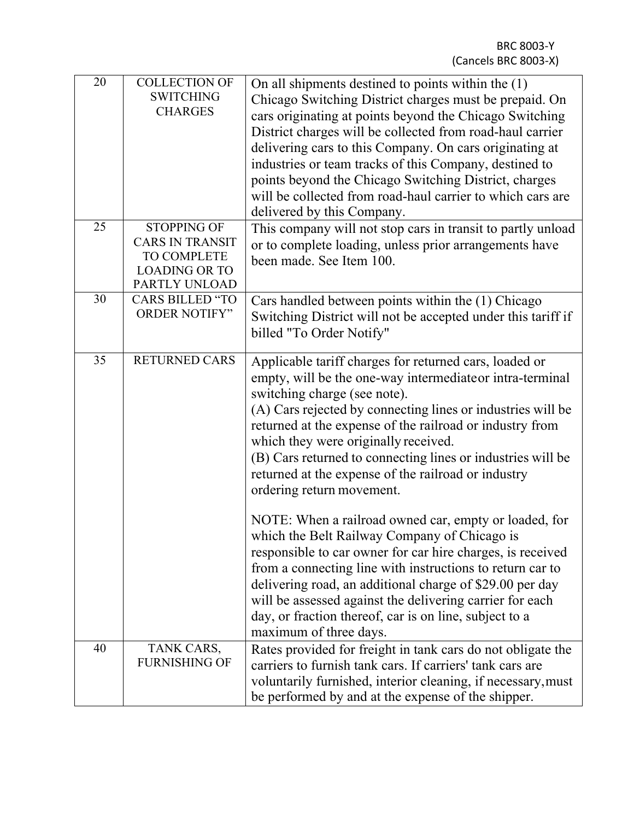| $\overline{20}$ | <b>COLLECTION OF</b><br><b>SWITCHING</b><br><b>CHARGES</b>                                           | On all shipments destined to points within the (1)<br>Chicago Switching District charges must be prepaid. On<br>cars originating at points beyond the Chicago Switching<br>District charges will be collected from road-haul carrier<br>delivering cars to this Company. On cars originating at<br>industries or team tracks of this Company, destined to<br>points beyond the Chicago Switching District, charges<br>will be collected from road-haul carrier to which cars are<br>delivered by this Company.                                                                                                                                                                                                                                                                                                                                                                                 |  |  |
|-----------------|------------------------------------------------------------------------------------------------------|------------------------------------------------------------------------------------------------------------------------------------------------------------------------------------------------------------------------------------------------------------------------------------------------------------------------------------------------------------------------------------------------------------------------------------------------------------------------------------------------------------------------------------------------------------------------------------------------------------------------------------------------------------------------------------------------------------------------------------------------------------------------------------------------------------------------------------------------------------------------------------------------|--|--|
| 25              | <b>STOPPING OF</b><br><b>CARS IN TRANSIT</b><br>TO COMPLETE<br><b>LOADING OR TO</b><br>PARTLY UNLOAD | This company will not stop cars in transit to partly unload<br>or to complete loading, unless prior arrangements have<br>been made. See Item 100.                                                                                                                                                                                                                                                                                                                                                                                                                                                                                                                                                                                                                                                                                                                                              |  |  |
| 30              | <b>CARS BILLED "TO</b><br><b>ORDER NOTIFY"</b>                                                       | Cars handled between points within the (1) Chicago<br>Switching District will not be accepted under this tariff if<br>billed "To Order Notify"                                                                                                                                                                                                                                                                                                                                                                                                                                                                                                                                                                                                                                                                                                                                                 |  |  |
| 35              | <b>RETURNED CARS</b>                                                                                 | Applicable tariff charges for returned cars, loaded or<br>empty, will be the one-way intermediateor intra-terminal<br>switching charge (see note).<br>(A) Cars rejected by connecting lines or industries will be<br>returned at the expense of the railroad or industry from<br>which they were originally received.<br>(B) Cars returned to connecting lines or industries will be<br>returned at the expense of the railroad or industry<br>ordering return movement.<br>NOTE: When a railroad owned car, empty or loaded, for<br>which the Belt Railway Company of Chicago is<br>responsible to car owner for car hire charges, is received<br>from a connecting line with instructions to return car to<br>delivering road, an additional charge of \$29.00 per day<br>will be assessed against the delivering carrier for each<br>day, or fraction thereof, car is on line, subject to a |  |  |
|                 |                                                                                                      | maximum of three days.                                                                                                                                                                                                                                                                                                                                                                                                                                                                                                                                                                                                                                                                                                                                                                                                                                                                         |  |  |
| 40              | TANK CARS,<br><b>FURNISHING OF</b>                                                                   | Rates provided for freight in tank cars do not obligate the<br>carriers to furnish tank cars. If carriers' tank cars are<br>voluntarily furnished, interior cleaning, if necessary, must<br>be performed by and at the expense of the shipper.                                                                                                                                                                                                                                                                                                                                                                                                                                                                                                                                                                                                                                                 |  |  |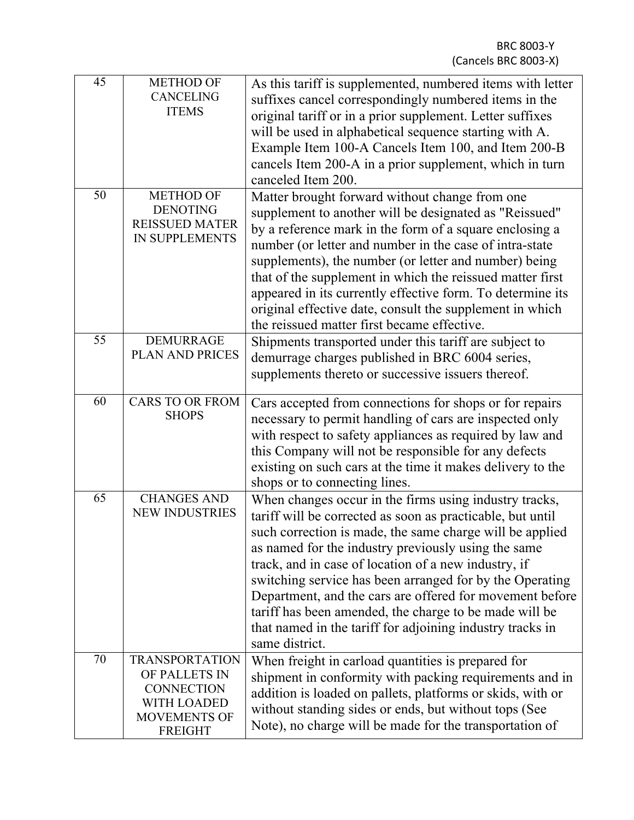| 45 | <b>METHOD OF</b><br><b>CANCELING</b><br><b>ITEMS</b>                                                         | As this tariff is supplemented, numbered items with letter<br>suffixes cancel correspondingly numbered items in the<br>original tariff or in a prior supplement. Letter suffixes<br>will be used in alphabetical sequence starting with A.<br>Example Item 100-A Cancels Item 100, and Item 200-B<br>cancels Item 200-A in a prior supplement, which in turn<br>canceled Item 200.                                                                                                                                                                               |
|----|--------------------------------------------------------------------------------------------------------------|------------------------------------------------------------------------------------------------------------------------------------------------------------------------------------------------------------------------------------------------------------------------------------------------------------------------------------------------------------------------------------------------------------------------------------------------------------------------------------------------------------------------------------------------------------------|
| 50 | <b>METHOD OF</b><br><b>DENOTING</b><br><b>REISSUED MATER</b><br>IN SUPPLEMENTS                               | Matter brought forward without change from one<br>supplement to another will be designated as "Reissued"<br>by a reference mark in the form of a square enclosing a<br>number (or letter and number in the case of intra-state<br>supplements), the number (or letter and number) being<br>that of the supplement in which the reissued matter first<br>appeared in its currently effective form. To determine its<br>original effective date, consult the supplement in which<br>the reissued matter first became effective.                                    |
| 55 | <b>DEMURRAGE</b><br>PLAN AND PRICES                                                                          | Shipments transported under this tariff are subject to<br>demurrage charges published in BRC 6004 series,<br>supplements thereto or successive issuers thereof.                                                                                                                                                                                                                                                                                                                                                                                                  |
| 60 | <b>CARS TO OR FROM</b><br><b>SHOPS</b>                                                                       | Cars accepted from connections for shops or for repairs<br>necessary to permit handling of cars are inspected only<br>with respect to safety appliances as required by law and<br>this Company will not be responsible for any defects<br>existing on such cars at the time it makes delivery to the<br>shops or to connecting lines.                                                                                                                                                                                                                            |
| 65 | <b>CHANGES AND</b><br><b>NEW INDUSTRIES</b>                                                                  | When changes occur in the firms using industry tracks,<br>tariff will be corrected as soon as practicable, but until<br>such correction is made, the same charge will be applied<br>as named for the industry previously using the same<br>track, and in case of location of a new industry, if<br>switching service has been arranged for by the Operating<br>Department, and the cars are offered for movement before<br>tariff has been amended, the charge to be made will be<br>that named in the tariff for adjoining industry tracks in<br>same district. |
| 70 | <b>TRANSPORTATION</b><br>OF PALLETS IN<br><b>CONNECTION</b><br>WITH LOADED<br>MOVEMENTS OF<br><b>FREIGHT</b> | When freight in carload quantities is prepared for<br>shipment in conformity with packing requirements and in<br>addition is loaded on pallets, platforms or skids, with or<br>without standing sides or ends, but without tops (See<br>Note), no charge will be made for the transportation of                                                                                                                                                                                                                                                                  |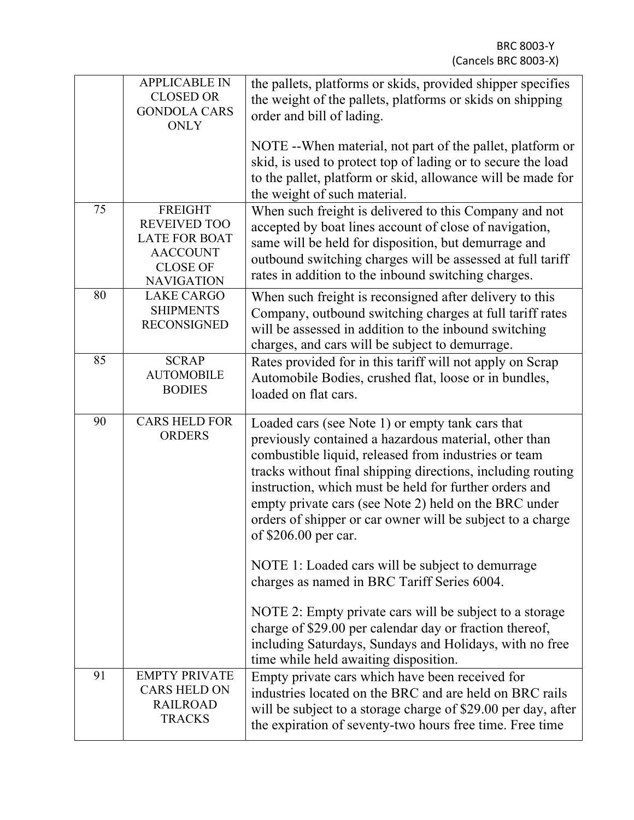|    | <b>APPLICABLE IN</b><br><b>CLOSED OR</b><br><b>GONDOLA CARS</b><br><b>ONLY</b>                                           | the pallets, platforms or skids, provided shipper specifies<br>the weight of the pallets, platforms or skids on shipping<br>order and bill of lading.<br>NOTE -- When material, not part of the pallet, platform or<br>skid, is used to protect top of lading or to secure the load<br>to the pallet, platform or skid, allowance will be made for<br>the weight of such material.                                                                                                            |  |  |  |
|----|--------------------------------------------------------------------------------------------------------------------------|-----------------------------------------------------------------------------------------------------------------------------------------------------------------------------------------------------------------------------------------------------------------------------------------------------------------------------------------------------------------------------------------------------------------------------------------------------------------------------------------------|--|--|--|
| 75 | <b>FREIGHT</b><br><b>REVEIVED TOO</b><br><b>LATE FOR BOAT</b><br><b>AACCOUNT</b><br><b>CLOSE OF</b><br><b>NAVIGATION</b> | When such freight is delivered to this Company and not<br>accepted by boat lines account of close of navigation,<br>same will be held for disposition, but demurrage and<br>outbound switching charges will be assessed at full tariff<br>rates in addition to the inbound switching charges.                                                                                                                                                                                                 |  |  |  |
| 80 | <b>LAKE CARGO</b><br><b>SHIPMENTS</b><br><b>RECONSIGNED</b>                                                              | When such freight is reconsigned after delivery to this<br>Company, outbound switching charges at full tariff rates<br>will be assessed in addition to the inbound switching<br>charges, and cars will be subject to demurrage.                                                                                                                                                                                                                                                               |  |  |  |
| 85 | <b>SCRAP</b><br><b>AUTOMOBILE</b><br><b>BODIES</b>                                                                       | Rates provided for in this tariff will not apply on Scrap<br>Automobile Bodies, crushed flat, loose or in bundles,<br>loaded on flat cars.                                                                                                                                                                                                                                                                                                                                                    |  |  |  |
| 90 | <b>CARS HELD FOR</b><br><b>ORDERS</b>                                                                                    | Loaded cars (see Note 1) or empty tank cars that<br>previously contained a hazardous material, other than<br>combustible liquid, released from industries or team<br>tracks without final shipping directions, including routing<br>instruction, which must be held for further orders and<br>empty private cars (see Note 2) held on the BRC under<br>orders of shipper or car owner will be subject to a charge<br>of \$206.00 per car.<br>NOTE 1: Loaded cars will be subject to demurrage |  |  |  |
|    |                                                                                                                          | charges as named in BRC Tariff Series 6004.<br>NOTE 2: Empty private cars will be subject to a storage<br>charge of \$29.00 per calendar day or fraction thereof,<br>including Saturdays, Sundays and Holidays, with no free<br>time while held awaiting disposition.                                                                                                                                                                                                                         |  |  |  |
| 91 | <b>EMPTY PRIVATE</b><br><b>CARS HELD ON</b><br><b>RAILROAD</b><br><b>TRACKS</b>                                          | Empty private cars which have been received for<br>industries located on the BRC and are held on BRC rails<br>will be subject to a storage charge of \$29.00 per day, after<br>the expiration of seventy-two hours free time. Free time                                                                                                                                                                                                                                                       |  |  |  |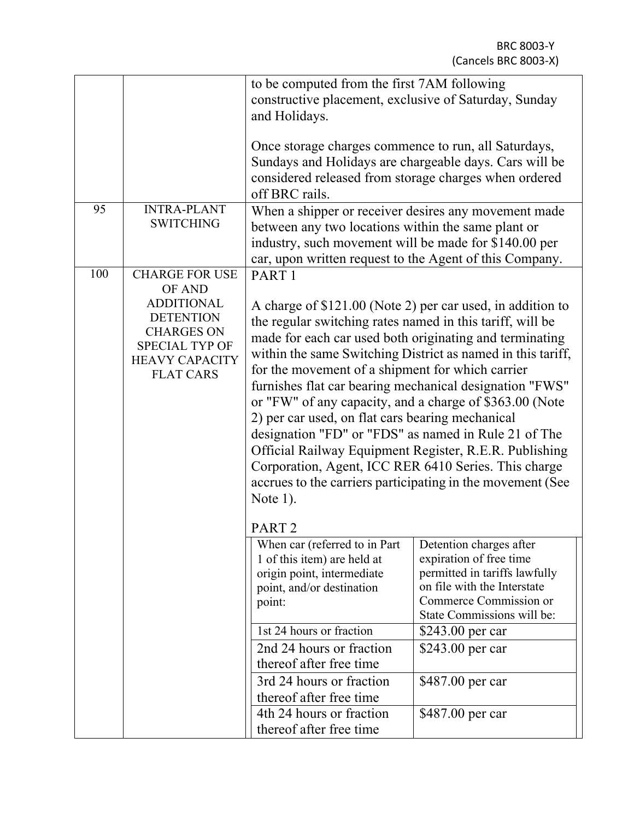|     |                                                                                                                                  | to be computed from the first 7AM following                                                                                                                                                                                                                                                                                                                                                                                                                                                                                                                                                                                                                                                                                                                 |                  |  |  |
|-----|----------------------------------------------------------------------------------------------------------------------------------|-------------------------------------------------------------------------------------------------------------------------------------------------------------------------------------------------------------------------------------------------------------------------------------------------------------------------------------------------------------------------------------------------------------------------------------------------------------------------------------------------------------------------------------------------------------------------------------------------------------------------------------------------------------------------------------------------------------------------------------------------------------|------------------|--|--|
|     |                                                                                                                                  | constructive placement, exclusive of Saturday, Sunday                                                                                                                                                                                                                                                                                                                                                                                                                                                                                                                                                                                                                                                                                                       |                  |  |  |
|     |                                                                                                                                  | and Holidays.                                                                                                                                                                                                                                                                                                                                                                                                                                                                                                                                                                                                                                                                                                                                               |                  |  |  |
|     |                                                                                                                                  | Once storage charges commence to run, all Saturdays,<br>Sundays and Holidays are chargeable days. Cars will be<br>considered released from storage charges when ordered<br>off BRC rails.                                                                                                                                                                                                                                                                                                                                                                                                                                                                                                                                                                   |                  |  |  |
| 95  | <b>INTRA-PLANT</b>                                                                                                               | When a shipper or receiver desires any movement made                                                                                                                                                                                                                                                                                                                                                                                                                                                                                                                                                                                                                                                                                                        |                  |  |  |
|     | <b>SWITCHING</b>                                                                                                                 | between any two locations within the same plant or                                                                                                                                                                                                                                                                                                                                                                                                                                                                                                                                                                                                                                                                                                          |                  |  |  |
|     |                                                                                                                                  |                                                                                                                                                                                                                                                                                                                                                                                                                                                                                                                                                                                                                                                                                                                                                             |                  |  |  |
|     |                                                                                                                                  | industry, such movement will be made for \$140.00 per<br>car, upon written request to the Agent of this Company.                                                                                                                                                                                                                                                                                                                                                                                                                                                                                                                                                                                                                                            |                  |  |  |
| 100 | <b>CHARGE FOR USE</b>                                                                                                            | PART <sub>1</sub>                                                                                                                                                                                                                                                                                                                                                                                                                                                                                                                                                                                                                                                                                                                                           |                  |  |  |
|     | OF AND                                                                                                                           |                                                                                                                                                                                                                                                                                                                                                                                                                                                                                                                                                                                                                                                                                                                                                             |                  |  |  |
|     | <b>ADDITIONAL</b><br><b>DETENTION</b><br><b>CHARGES ON</b><br><b>SPECIAL TYP OF</b><br><b>HEAVY CAPACITY</b><br><b>FLAT CARS</b> | A charge of \$121.00 (Note 2) per car used, in addition to<br>the regular switching rates named in this tariff, will be<br>made for each car used both originating and terminating<br>within the same Switching District as named in this tariff,<br>for the movement of a shipment for which carrier<br>furnishes flat car bearing mechanical designation "FWS"<br>or "FW" of any capacity, and a charge of \$363.00 (Note<br>2) per car used, on flat cars bearing mechanical<br>designation "FD" or "FDS" as named in Rule 21 of The<br>Official Railway Equipment Register, R.E.R. Publishing<br>Corporation, Agent, ICC RER 6410 Series. This charge<br>accrues to the carriers participating in the movement (See<br>Note $1$ ).<br>PART <sub>2</sub> |                  |  |  |
|     |                                                                                                                                  | When car (referred to in Part<br>Detention charges after<br>expiration of free time<br>1 of this item) are held at<br>permitted in tariffs lawfully<br>origin point, intermediate<br>on file with the Interstate<br>point, and/or destination<br>Commerce Commission or<br>point:<br>State Commissions will be:                                                                                                                                                                                                                                                                                                                                                                                                                                             |                  |  |  |
|     |                                                                                                                                  | 1st 24 hours or fraction                                                                                                                                                                                                                                                                                                                                                                                                                                                                                                                                                                                                                                                                                                                                    | \$243.00 per car |  |  |
|     |                                                                                                                                  | 2nd 24 hours or fraction                                                                                                                                                                                                                                                                                                                                                                                                                                                                                                                                                                                                                                                                                                                                    | \$243.00 per car |  |  |
|     |                                                                                                                                  | thereof after free time                                                                                                                                                                                                                                                                                                                                                                                                                                                                                                                                                                                                                                                                                                                                     |                  |  |  |
|     |                                                                                                                                  | 3rd 24 hours or fraction                                                                                                                                                                                                                                                                                                                                                                                                                                                                                                                                                                                                                                                                                                                                    | \$487.00 per car |  |  |
|     |                                                                                                                                  | thereof after free time                                                                                                                                                                                                                                                                                                                                                                                                                                                                                                                                                                                                                                                                                                                                     |                  |  |  |
|     |                                                                                                                                  | 4th 24 hours or fraction<br>\$487.00 per car<br>thereof after free time                                                                                                                                                                                                                                                                                                                                                                                                                                                                                                                                                                                                                                                                                     |                  |  |  |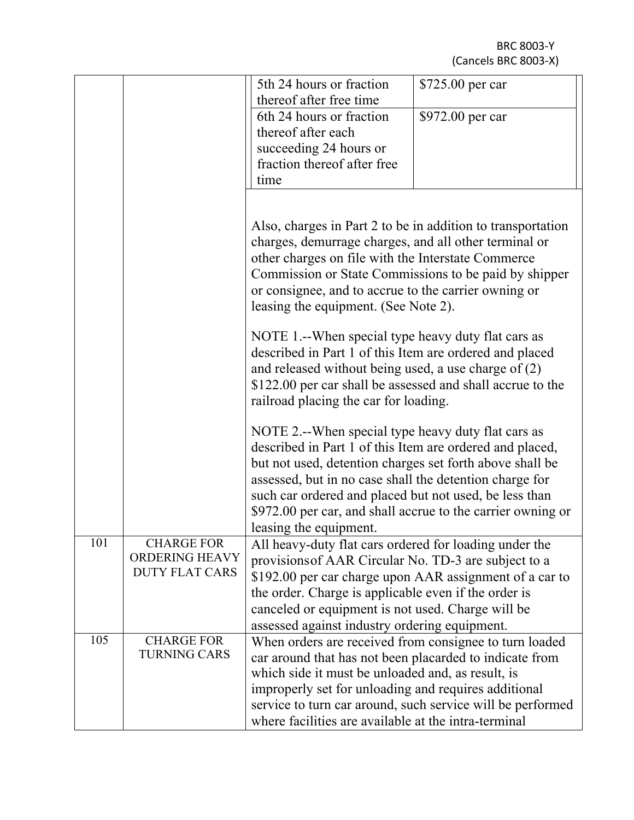BRC 8003-Y (Cancels BRC 8003-X)

|     |                       | 5th 24 hours or fraction<br>thereof after free time                                                            | \$725.00 per car                                           |  |  |  |
|-----|-----------------------|----------------------------------------------------------------------------------------------------------------|------------------------------------------------------------|--|--|--|
|     |                       | 6th 24 hours or fraction                                                                                       | \$972.00 per car                                           |  |  |  |
|     |                       | thereof after each                                                                                             |                                                            |  |  |  |
|     |                       | succeeding 24 hours or                                                                                         |                                                            |  |  |  |
|     |                       | fraction thereof after free                                                                                    |                                                            |  |  |  |
|     |                       | time                                                                                                           |                                                            |  |  |  |
|     |                       |                                                                                                                |                                                            |  |  |  |
|     |                       | Also, charges in Part 2 to be in addition to transportation                                                    |                                                            |  |  |  |
|     |                       | charges, demurrage charges, and all other terminal or                                                          |                                                            |  |  |  |
|     |                       | other charges on file with the Interstate Commerce                                                             |                                                            |  |  |  |
|     |                       | Commission or State Commissions to be paid by shipper                                                          |                                                            |  |  |  |
|     |                       | or consignee, and to accrue to the carrier owning or                                                           |                                                            |  |  |  |
|     |                       | leasing the equipment. (See Note 2).                                                                           |                                                            |  |  |  |
|     |                       | NOTE 1.--When special type heavy duty flat cars as                                                             |                                                            |  |  |  |
|     |                       | described in Part 1 of this Item are ordered and placed                                                        |                                                            |  |  |  |
|     |                       | and released without being used, a use charge of $(2)$                                                         |                                                            |  |  |  |
|     |                       | \$122.00 per car shall be assessed and shall accrue to the                                                     |                                                            |  |  |  |
|     |                       | railroad placing the car for loading.                                                                          |                                                            |  |  |  |
|     |                       |                                                                                                                |                                                            |  |  |  |
|     |                       | NOTE 2.--When special type heavy duty flat cars as                                                             |                                                            |  |  |  |
|     |                       | described in Part 1 of this Item are ordered and placed,                                                       |                                                            |  |  |  |
|     |                       | but not used, detention charges set forth above shall be                                                       |                                                            |  |  |  |
|     |                       | assessed, but in no case shall the detention charge for                                                        |                                                            |  |  |  |
|     |                       | such car ordered and placed but not used, be less than                                                         |                                                            |  |  |  |
|     |                       | \$972.00 per car, and shall accrue to the carrier owning or                                                    |                                                            |  |  |  |
| 101 | <b>CHARGE FOR</b>     | leasing the equipment.                                                                                         |                                                            |  |  |  |
|     | <b>ORDERING HEAVY</b> | All heavy-duty flat cars ordered for loading under the<br>provisions of AAR Circular No. TD-3 are subject to a |                                                            |  |  |  |
|     | <b>DUTY FLAT CARS</b> | \$192.00 per car charge upon AAR assignment of a car to                                                        |                                                            |  |  |  |
|     |                       | the order. Charge is applicable even if the order is                                                           |                                                            |  |  |  |
|     |                       | canceled or equipment is not used. Charge will be                                                              |                                                            |  |  |  |
|     |                       | assessed against industry ordering equipment.                                                                  |                                                            |  |  |  |
| 105 | <b>CHARGE FOR</b>     | When orders are received from consignee to turn loaded                                                         |                                                            |  |  |  |
|     | <b>TURNING CARS</b>   | car around that has not been placarded to indicate from                                                        |                                                            |  |  |  |
|     |                       | which side it must be unloaded and, as result, is                                                              |                                                            |  |  |  |
|     |                       | improperly set for unloading and requires additional                                                           |                                                            |  |  |  |
|     |                       |                                                                                                                | service to turn car around, such service will be performed |  |  |  |
|     |                       | where facilities are available at the intra-terminal                                                           |                                                            |  |  |  |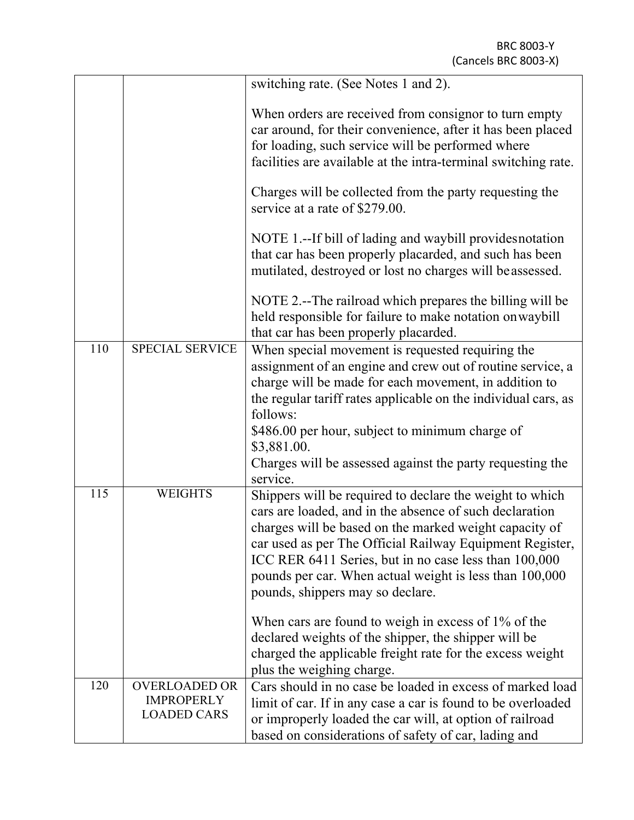|     |                                                                 | switching rate. (See Notes 1 and 2).                                                                                                                                                                                                                                                                                                                                                              |  |  |  |
|-----|-----------------------------------------------------------------|---------------------------------------------------------------------------------------------------------------------------------------------------------------------------------------------------------------------------------------------------------------------------------------------------------------------------------------------------------------------------------------------------|--|--|--|
|     |                                                                 | When orders are received from consignor to turn empty<br>car around, for their convenience, after it has been placed<br>for loading, such service will be performed where<br>facilities are available at the intra-terminal switching rate.                                                                                                                                                       |  |  |  |
|     |                                                                 | Charges will be collected from the party requesting the<br>service at a rate of \$279.00.                                                                                                                                                                                                                                                                                                         |  |  |  |
|     |                                                                 | NOTE 1.--If bill of lading and waybill provides notation<br>that car has been properly placarded, and such has been<br>mutilated, destroyed or lost no charges will be assessed.                                                                                                                                                                                                                  |  |  |  |
|     |                                                                 | NOTE 2.--The railroad which prepares the billing will be<br>held responsible for failure to make notation on waybill<br>that car has been properly placarded.                                                                                                                                                                                                                                     |  |  |  |
| 110 | <b>SPECIAL SERVICE</b>                                          | When special movement is requested requiring the<br>assignment of an engine and crew out of routine service, a<br>charge will be made for each movement, in addition to<br>the regular tariff rates applicable on the individual cars, as<br>follows:                                                                                                                                             |  |  |  |
|     |                                                                 | \$486.00 per hour, subject to minimum charge of<br>\$3,881.00.<br>Charges will be assessed against the party requesting the<br>service.                                                                                                                                                                                                                                                           |  |  |  |
| 115 | <b>WEIGHTS</b>                                                  | Shippers will be required to declare the weight to which<br>cars are loaded, and in the absence of such declaration<br>charges will be based on the marked weight capacity of<br>car used as per The Official Railway Equipment Register,<br>ICC RER 6411 Series, but in no case less than 100,000<br>pounds per car. When actual weight is less than 100,000<br>pounds, shippers may so declare. |  |  |  |
|     |                                                                 | When cars are found to weigh in excess of 1% of the<br>declared weights of the shipper, the shipper will be<br>charged the applicable freight rate for the excess weight<br>plus the weighing charge.                                                                                                                                                                                             |  |  |  |
| 120 | <b>OVERLOADED OR</b><br><b>IMPROPERLY</b><br><b>LOADED CARS</b> | Cars should in no case be loaded in excess of marked load<br>limit of car. If in any case a car is found to be overloaded<br>or improperly loaded the car will, at option of railroad<br>based on considerations of safety of car, lading and                                                                                                                                                     |  |  |  |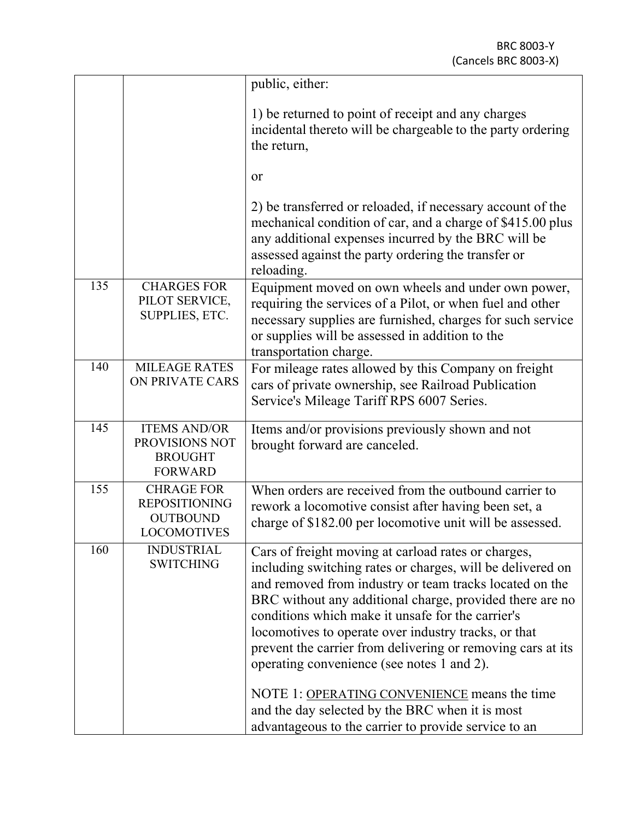|     |                                                                                    | public, either:                                                                                                                                                                                                                                                                                                                                                                                                                                                                                                                                                                                                               |
|-----|------------------------------------------------------------------------------------|-------------------------------------------------------------------------------------------------------------------------------------------------------------------------------------------------------------------------------------------------------------------------------------------------------------------------------------------------------------------------------------------------------------------------------------------------------------------------------------------------------------------------------------------------------------------------------------------------------------------------------|
|     |                                                                                    | 1) be returned to point of receipt and any charges<br>incidental thereto will be chargeable to the party ordering<br>the return,                                                                                                                                                                                                                                                                                                                                                                                                                                                                                              |
|     |                                                                                    | or                                                                                                                                                                                                                                                                                                                                                                                                                                                                                                                                                                                                                            |
|     |                                                                                    | 2) be transferred or reloaded, if necessary account of the<br>mechanical condition of car, and a charge of \$415.00 plus<br>any additional expenses incurred by the BRC will be<br>assessed against the party ordering the transfer or<br>reloading.                                                                                                                                                                                                                                                                                                                                                                          |
| 135 | <b>CHARGES FOR</b><br>PILOT SERVICE,<br>SUPPLIES, ETC.                             | Equipment moved on own wheels and under own power,<br>requiring the services of a Pilot, or when fuel and other<br>necessary supplies are furnished, charges for such service<br>or supplies will be assessed in addition to the<br>transportation charge.                                                                                                                                                                                                                                                                                                                                                                    |
| 140 | <b>MILEAGE RATES</b><br>ON PRIVATE CARS                                            | For mileage rates allowed by this Company on freight<br>cars of private ownership, see Railroad Publication<br>Service's Mileage Tariff RPS 6007 Series.                                                                                                                                                                                                                                                                                                                                                                                                                                                                      |
| 145 | <b>ITEMS AND/OR</b><br>PROVISIONS NOT<br><b>BROUGHT</b><br><b>FORWARD</b>          | Items and/or provisions previously shown and not<br>brought forward are canceled.                                                                                                                                                                                                                                                                                                                                                                                                                                                                                                                                             |
| 155 | <b>CHRAGE FOR</b><br><b>REPOSITIONING</b><br><b>OUTBOUND</b><br><b>LOCOMOTIVES</b> | When orders are received from the outbound carrier to<br>rework a locomotive consist after having been set, a<br>charge of \$182.00 per locomotive unit will be assessed.                                                                                                                                                                                                                                                                                                                                                                                                                                                     |
| 160 | <b>INDUSTRIAL</b><br><b>SWITCHING</b>                                              | Cars of freight moving at carload rates or charges,<br>including switching rates or charges, will be delivered on<br>and removed from industry or team tracks located on the<br>BRC without any additional charge, provided there are no<br>conditions which make it unsafe for the carrier's<br>locomotives to operate over industry tracks, or that<br>prevent the carrier from delivering or removing cars at its<br>operating convenience (see notes 1 and 2).<br>NOTE 1: OPERATING CONVENIENCE means the time<br>and the day selected by the BRC when it is most<br>advantageous to the carrier to provide service to an |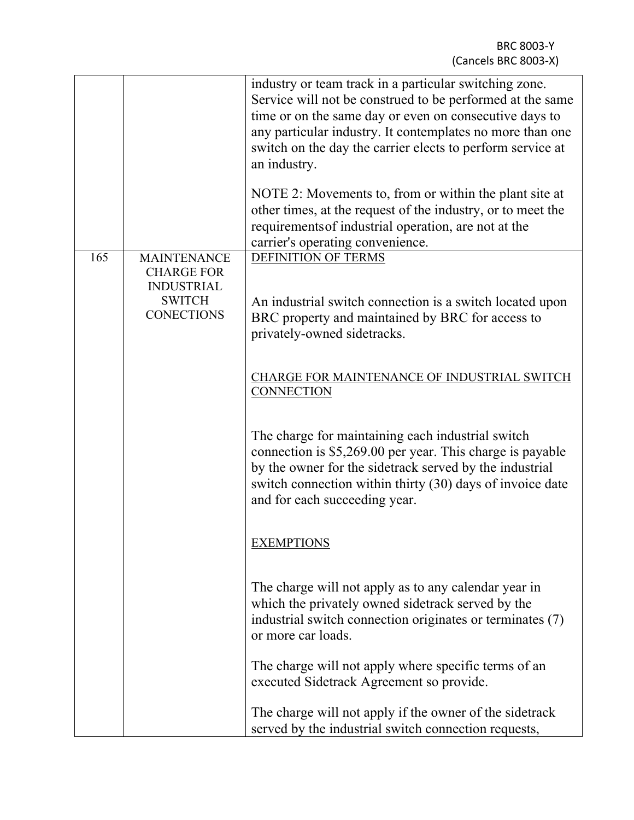|     |                                                                                                    | industry or team track in a particular switching zone.<br>Service will not be construed to be performed at the same<br>time or on the same day or even on consecutive days to<br>any particular industry. It contemplates no more than one<br>switch on the day the carrier elects to perform service at<br>an industry.<br>NOTE 2: Movements to, from or within the plant site at<br>other times, at the request of the industry, or to meet the<br>requirements of industrial operation, are not at the<br>carrier's operating convenience. |
|-----|----------------------------------------------------------------------------------------------------|-----------------------------------------------------------------------------------------------------------------------------------------------------------------------------------------------------------------------------------------------------------------------------------------------------------------------------------------------------------------------------------------------------------------------------------------------------------------------------------------------------------------------------------------------|
| 165 | <b>MAINTENANCE</b><br><b>CHARGE FOR</b><br><b>INDUSTRIAL</b><br><b>SWITCH</b><br><b>CONECTIONS</b> | <b>DEFINITION OF TERMS</b><br>An industrial switch connection is a switch located upon<br>BRC property and maintained by BRC for access to<br>privately-owned sidetracks.                                                                                                                                                                                                                                                                                                                                                                     |
|     |                                                                                                    | CHARGE FOR MAINTENANCE OF INDUSTRIAL SWITCH<br><b>CONNECTION</b>                                                                                                                                                                                                                                                                                                                                                                                                                                                                              |
|     |                                                                                                    | The charge for maintaining each industrial switch<br>connection is \$5,269.00 per year. This charge is payable<br>by the owner for the sidetrack served by the industrial<br>switch connection within thirty (30) days of invoice date<br>and for each succeeding year.                                                                                                                                                                                                                                                                       |
|     |                                                                                                    | <b>EXEMPTIONS</b>                                                                                                                                                                                                                                                                                                                                                                                                                                                                                                                             |
|     |                                                                                                    | The charge will not apply as to any calendar year in<br>which the privately owned sidetrack served by the<br>industrial switch connection originates or terminates (7)<br>or more car loads.                                                                                                                                                                                                                                                                                                                                                  |
|     |                                                                                                    | The charge will not apply where specific terms of an<br>executed Sidetrack Agreement so provide.                                                                                                                                                                                                                                                                                                                                                                                                                                              |
|     |                                                                                                    | The charge will not apply if the owner of the sidetrack<br>served by the industrial switch connection requests,                                                                                                                                                                                                                                                                                                                                                                                                                               |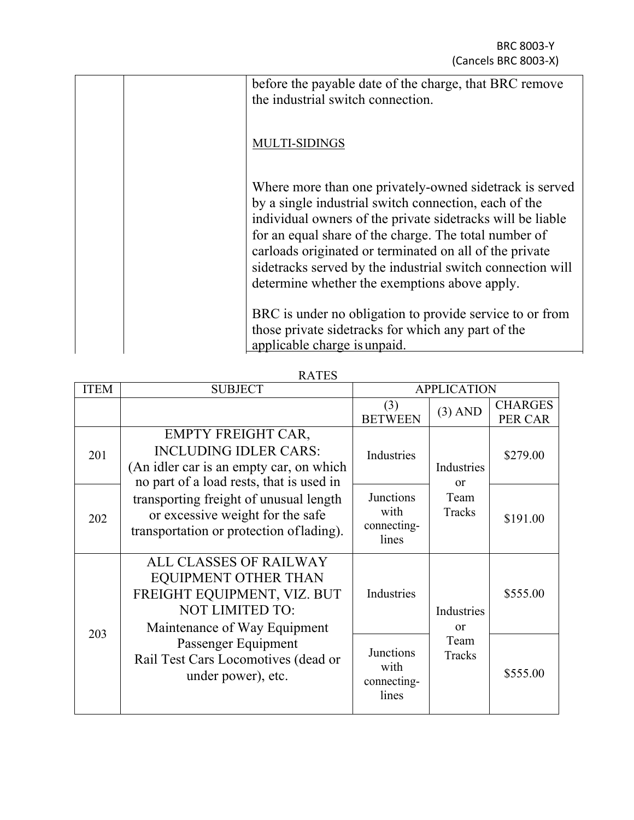| before the payable date of the charge, that BRC remove<br>the industrial switch connection.                                                                                                                                                                                                                                                                                                                        |
|--------------------------------------------------------------------------------------------------------------------------------------------------------------------------------------------------------------------------------------------------------------------------------------------------------------------------------------------------------------------------------------------------------------------|
| <b>MULTI-SIDINGS</b>                                                                                                                                                                                                                                                                                                                                                                                               |
| Where more than one privately-owned sidetrack is served<br>by a single industrial switch connection, each of the<br>individual owners of the private side tracks will be liable<br>for an equal share of the charge. The total number of<br>carloads originated or terminated on all of the private<br>sidetracks served by the industrial switch connection will<br>determine whether the exemptions above apply. |
| BRC is under no obligation to provide service to or from<br>those private sidetracks for which any part of the<br>applicable charge is unpaid.                                                                                                                                                                                                                                                                     |

RATES

| <b>ITEM</b> | <b>SUBJECT</b>                                                                                                                                                                                                                                                             | <b>APPLICATION</b>                               |                                          |                           |
|-------------|----------------------------------------------------------------------------------------------------------------------------------------------------------------------------------------------------------------------------------------------------------------------------|--------------------------------------------------|------------------------------------------|---------------------------|
|             |                                                                                                                                                                                                                                                                            | (3)<br><b>BETWEEN</b>                            | $(3)$ AND                                | <b>CHARGES</b><br>PER CAR |
| 201         | <b>EMPTY FREIGHT CAR,</b><br><b>INCLUDING IDLER CARS:</b><br>(An idler car is an empty car, on which<br>no part of a load rests, that is used in<br>transporting freight of unusual length<br>or excessive weight for the safe<br>transportation or protection of lading). | Industries                                       | Industries<br>$\alpha$<br>Team<br>Tracks | \$279.00                  |
| 202         |                                                                                                                                                                                                                                                                            | <b>Junctions</b><br>with<br>connecting-<br>lines |                                          | \$191.00                  |
|             | <b>ALL CLASSES OF RAILWAY</b><br>EQUIPMENT OTHER THAN<br>FREIGHT EQUIPMENT, VIZ. BUT<br><b>NOT LIMITED TO:</b><br>Maintenance of Way Equipment                                                                                                                             | Industries                                       | Industries<br>$\alpha$                   | \$555.00                  |
| 203         | Passenger Equipment<br>Rail Test Cars Locomotives (dead or<br>under power), etc.                                                                                                                                                                                           | <b>Junctions</b><br>with<br>connecting-<br>lines | Team<br>Tracks                           | \$555.00                  |